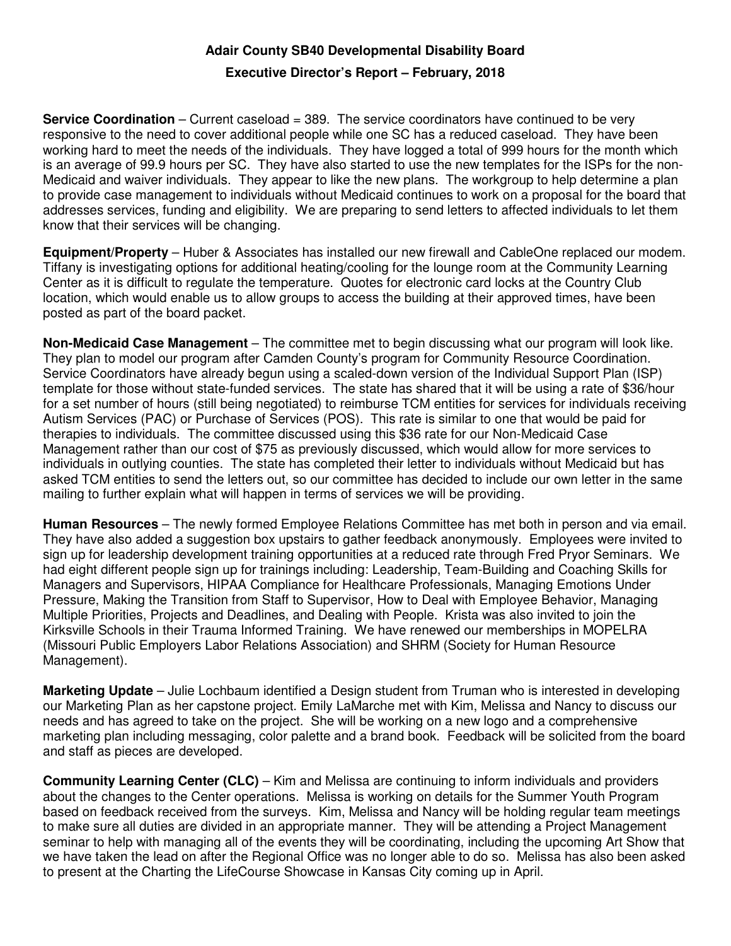## **Adair County SB40 Developmental Disability Board**

## **Executive Director's Report – February, 2018**

**Service Coordination** – Current caseload = 389. The service coordinators have continued to be very responsive to the need to cover additional people while one SC has a reduced caseload. They have been working hard to meet the needs of the individuals. They have logged a total of 999 hours for the month which is an average of 99.9 hours per SC. They have also started to use the new templates for the ISPs for the non-Medicaid and waiver individuals. They appear to like the new plans. The workgroup to help determine a plan to provide case management to individuals without Medicaid continues to work on a proposal for the board that addresses services, funding and eligibility. We are preparing to send letters to affected individuals to let them know that their services will be changing.

**Equipment/Property** – Huber & Associates has installed our new firewall and CableOne replaced our modem. Tiffany is investigating options for additional heating/cooling for the lounge room at the Community Learning Center as it is difficult to regulate the temperature. Quotes for electronic card locks at the Country Club location, which would enable us to allow groups to access the building at their approved times, have been posted as part of the board packet.

**Non-Medicaid Case Management** – The committee met to begin discussing what our program will look like. They plan to model our program after Camden County's program for Community Resource Coordination. Service Coordinators have already begun using a scaled-down version of the Individual Support Plan (ISP) template for those without state-funded services. The state has shared that it will be using a rate of \$36/hour for a set number of hours (still being negotiated) to reimburse TCM entities for services for individuals receiving Autism Services (PAC) or Purchase of Services (POS). This rate is similar to one that would be paid for therapies to individuals. The committee discussed using this \$36 rate for our Non-Medicaid Case Management rather than our cost of \$75 as previously discussed, which would allow for more services to individuals in outlying counties. The state has completed their letter to individuals without Medicaid but has asked TCM entities to send the letters out, so our committee has decided to include our own letter in the same mailing to further explain what will happen in terms of services we will be providing.

**Human Resources** – The newly formed Employee Relations Committee has met both in person and via email. They have also added a suggestion box upstairs to gather feedback anonymously. Employees were invited to sign up for leadership development training opportunities at a reduced rate through Fred Pryor Seminars. We had eight different people sign up for trainings including: Leadership, Team-Building and Coaching Skills for Managers and Supervisors, HIPAA Compliance for Healthcare Professionals, Managing Emotions Under Pressure, Making the Transition from Staff to Supervisor, How to Deal with Employee Behavior, Managing Multiple Priorities, Projects and Deadlines, and Dealing with People. Krista was also invited to join the Kirksville Schools in their Trauma Informed Training. We have renewed our memberships in MOPELRA (Missouri Public Employers Labor Relations Association) and SHRM (Society for Human Resource Management).

**Marketing Update** – Julie Lochbaum identified a Design student from Truman who is interested in developing our Marketing Plan as her capstone project. Emily LaMarche met with Kim, Melissa and Nancy to discuss our needs and has agreed to take on the project. She will be working on a new logo and a comprehensive marketing plan including messaging, color palette and a brand book. Feedback will be solicited from the board and staff as pieces are developed.

**Community Learning Center (CLC)** – Kim and Melissa are continuing to inform individuals and providers about the changes to the Center operations. Melissa is working on details for the Summer Youth Program based on feedback received from the surveys. Kim, Melissa and Nancy will be holding regular team meetings to make sure all duties are divided in an appropriate manner. They will be attending a Project Management seminar to help with managing all of the events they will be coordinating, including the upcoming Art Show that we have taken the lead on after the Regional Office was no longer able to do so. Melissa has also been asked to present at the Charting the LifeCourse Showcase in Kansas City coming up in April.